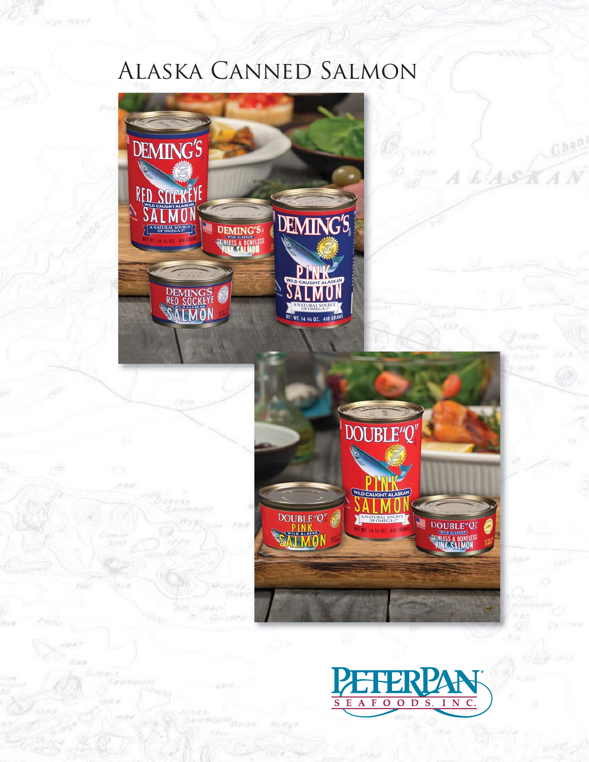# Alaska Canned Salmon